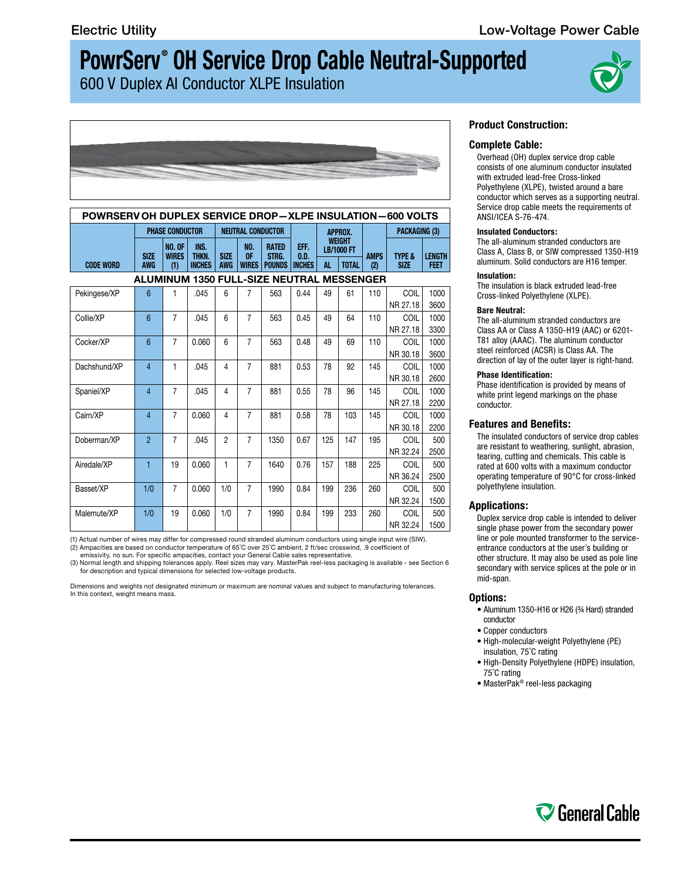600 V Duplex Al Conductor XLPE Insulation





| <b>POWRSERV OH DUPLEX SERVICE DROP-XLPE INSULATION-600 VOLTS</b> |                           |                                      |                                |                           |                           |                                        |                               |                                                                 |     |                    |                                  |                              |
|------------------------------------------------------------------|---------------------------|--------------------------------------|--------------------------------|---------------------------|---------------------------|----------------------------------------|-------------------------------|-----------------------------------------------------------------|-----|--------------------|----------------------------------|------------------------------|
|                                                                  | <b>PHASE CONDUCTOR</b>    |                                      |                                | <b>NEUTRAL CONDUCTOR</b>  |                           |                                        |                               | APPROX.                                                         |     |                    | <b>PACKAGING (3)</b>             |                              |
| <b>CODE WORD</b>                                                 | <b>SIZE</b><br><b>AWG</b> | <b>NO. OF</b><br><b>WIRES</b><br>(1) | INS.<br>THKN.<br><b>INCHES</b> | <b>SIZE</b><br><b>AWG</b> | NO.<br>0F<br><b>WIRES</b> | <b>RATED</b><br>STRG.<br><b>POUNDS</b> | EFF.<br>0.D.<br><b>INCHES</b> | <b>WEIGHT</b><br><b>LB/1000 FT</b><br><b>TOTAL</b><br><b>AL</b> |     | <b>AMPS</b><br>(2) | <b>TYPE &amp;</b><br><b>SIZE</b> | <b>LENGTH</b><br><b>FEET</b> |
|                                                                  |                           |                                      |                                |                           |                           |                                        |                               |                                                                 |     |                    |                                  |                              |
| ALUMINUM 1350 FULL-SIZE NEUTRAL MESSENGER                        |                           |                                      |                                |                           |                           |                                        |                               |                                                                 |     |                    |                                  |                              |
| Pekingese/XP                                                     | $6\phantom{1}$            | 1                                    | .045                           | 6                         | $\overline{7}$            | 563                                    | 0.44                          | 49                                                              | 61  | 110                | COIL                             | 1000                         |
|                                                                  |                           |                                      |                                |                           |                           |                                        |                               |                                                                 |     |                    | NR 27.18                         | 3600                         |
| Collie/XP                                                        | 6                         | $\overline{7}$                       | .045                           | 6                         | $\overline{7}$            | 563                                    | 0.45                          | 49                                                              | 64  | 110                | COIL                             | 1000                         |
|                                                                  |                           |                                      |                                |                           |                           |                                        |                               |                                                                 |     |                    | NR 27.18                         | 3300                         |
| Cocker/XP                                                        | 6                         | $\overline{7}$                       | 0.060                          | 6                         | $\overline{7}$            | 563                                    | 0.48                          | 49                                                              | 69  | 110                | COIL                             | 1000                         |
|                                                                  |                           |                                      |                                |                           |                           |                                        |                               |                                                                 |     |                    | NR 30.18                         | 3600                         |
| Dachshund/XP                                                     | $\overline{4}$            | 1                                    | .045                           | 4                         | $\overline{7}$            | 881                                    | 0.53                          | 78                                                              | 92  | 145                | COIL                             | 1000                         |
|                                                                  |                           |                                      |                                |                           |                           |                                        |                               |                                                                 |     |                    | NR 30.18                         | 2600                         |
| Spaniel/XP                                                       | $\overline{4}$            | $\overline{7}$                       | .045                           | 4                         | $\overline{7}$            | 881                                    | 0.55                          | 78                                                              | 96  | 145                | COIL                             | 1000                         |
|                                                                  |                           |                                      |                                |                           |                           |                                        |                               |                                                                 |     |                    | NR 27.18                         | 2200                         |
| Cairn/XP                                                         | 4                         | $\overline{7}$                       | 0.060                          | 4                         | $\overline{7}$            | 881                                    | 0.58                          | 78                                                              | 103 | 145                | COIL                             | 1000                         |
|                                                                  |                           |                                      |                                |                           |                           |                                        |                               |                                                                 |     |                    | NR 30.18                         | 2200                         |
| Doberman/XP                                                      | $\overline{2}$            | $\overline{7}$                       | .045                           | $\overline{2}$            | $\overline{7}$            | 1350                                   | 0.67                          | 125                                                             | 147 | 195                | COIL                             | 500                          |
|                                                                  |                           |                                      |                                |                           |                           |                                        |                               |                                                                 |     |                    | NR 32.24                         | 2500                         |
| Airedale/XP                                                      | 1                         | 19                                   | 0.060                          | 1                         | $\overline{7}$            | 1640                                   | 0.76                          | 157                                                             | 188 | 225                | COIL                             | 500                          |
|                                                                  |                           |                                      |                                |                           |                           |                                        |                               |                                                                 |     |                    | NR 36.24                         | 2500                         |
| Basset/XP                                                        | 1/0                       | $\overline{7}$                       | 0.060                          | 1/0                       | $\overline{7}$            | 1990                                   | 0.84                          | 199                                                             | 236 | 260                | COIL                             | 500                          |
|                                                                  |                           |                                      |                                |                           |                           |                                        |                               |                                                                 |     |                    | NR 32.24                         | 1500                         |
| Malemute/XP                                                      | 1/0                       | 19                                   | 0.060                          | 1/0                       | $\overline{7}$            | 1990                                   | 0.84                          | 199                                                             | 233 | 260                | COIL                             | 500                          |
|                                                                  |                           |                                      |                                |                           |                           |                                        |                               |                                                                 |     |                    | NR 32.24                         | 1500                         |

(1) Actual number of wires may differ for compressed round stranded aluminum conductors using single input wire (SIW). (2) Ampacities are based on conductor temperature of 65˚C over 25˚C ambient, 2 ft/sec crosswind, .9 coefficient of emissivity, no sun. For specific ampacities, contact your General Cable sales representative.

(3) Normal length and shipping tolerances apply. Reel sizes may vary. MasterPak reel-less packaging is available - see Section 6 for description and typical dimensions for selected low-voltage products.

Dimensions and weights not designated minimum or maximum are nominal values and subject to manufacturing tolerances. In this context, weight means mass.

# **Product Construction:**

## **Complete Cable:**

Overhead (OH) duplex service drop cable consists of one aluminum conductor insulated with extruded lead-free Cross-linked Polyethylene (XLPE), twisted around a bare conductor which serves as a supporting neutral. Service drop cable meets the requirements of ANSI/ICEA S-76-474.

#### **Insulated Conductors:**

The all-aluminum stranded conductors are Class A, Class B, or SIW compressed 1350-H19 aluminum. Solid conductors are H16 temper.

# **Insulation:**

The insulation is black extruded lead-free Cross-linked Polyethylene (XLPE).

## **Bare Neutral:**

The all-aluminum stranded conductors are Class AA or Class A 1350-H19 (AAC) or 6201- T81 alloy (AAAC). The aluminum conductor steel reinforced (ACSR) is Class AA. The direction of lay of the outer layer is right-hand.

#### **Phase Identification:**

Phase identification is provided by means of white print legend markings on the phase conductor.

## **Features and Benefits:**

The insulated conductors of service drop cables are resistant to weathering, sunlight, abrasion, tearing, cutting and chemicals. This cable is rated at 600 volts with a maximum conductor operating temperature of 90°C for cross-linked polyethylene insulation.

# **Applications:**

Duplex service drop cable is intended to deliver single phase power from the secondary power line or pole mounted transformer to the serviceentrance conductors at the user's building or other structure. It may also be used as pole line secondary with service splices at the pole or in mid-span.

#### **Options:**

- Aluminum 1350-H16 or H26 (¾ Hard) stranded conductor
- Copper conductors
- High-molecular-weight Polyethylene (PE) insulation, 75˚C rating
- High-Density Polyethylene (HDPE) insulation, 75˚C rating
- MasterPak® reel-less packaging